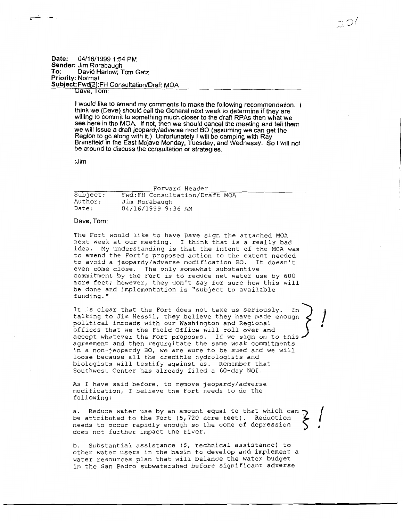## **Date: 04/16/1999 1 :54 PM Sender: Jim Rorabaugh<br>To:** David Harlow: T David Harlow; Tom Gatz **Priority: Normal Subject: Fwd[2):FH Consultation/Draft MOA Dave, Tom:**

**I would like to amend my comments to make the following recommendation. think we (Dave) should call the General next week to determine if they are willing to commit to something much closer to the draft RPAs then what we see here in the MOA. If not, then we should cancel the meeting and tell them we will issue a draft jeopardy/adverse mod BO (assuming we can get the Region to go along with it.) Unfortunately I will be camping with Ray Bransfield in the East Mojave Monday, Tuesday, and Wednesay. So I will not be around to discuss the consultation or strategies.** 

 $20/$ 

**:Jim** 

|          | Forward Header                 |
|----------|--------------------------------|
| Subject: | Fwd: FH Consultation/Draft MOA |
| Author:  | Jim Rorabaugh                  |
| Date:    | 04/16/1999 9:36 AM             |

## **Dave, Tom:**

The Fort would like to have Dave sign the attached MOA next week at our meeting. I think that is a really bad idea. My understanding is that the intent of the MOA was to amend the Fort's proposed action to the extent needed to avoid a jeopardy/adverse modification BO. It doesn't even come close. The only somewhat substantive commitment by the Fort is to reduce net water use by 600 acre feet; however, they don't say for sure how this will be done and implementation is "subject to available funding."

It is clear that the Fort does not take us seriously. In] **<sup>J</sup>** talking to Jim Hessil, they believe they have made enough political inroads with our Washington and Regional • offices that we the Field Office will roll over and accept whatever the Fort proposes. If we sign on to this. agreement and then regurgitate the same weak commitments in a non-jeopardy BO, we are sure to be sued and we will loose because all the credible hydrologists and biologists will testify against us. Remember that Southwest Center has already filed a 60-day NOI.

As I have said before, to remove jeopardy/adverse modification, I believe the Fort needs to do the following:

a. Reduce water use by an amount equal to that which can be attributed to the Fort (5,720 acre feet). Reduction needs to occur rapidly enough so the cone of depression does not further impact the river.

b. Substantial assistance (\$, technical assistance) to other water users in the basin to develop and implement a water resources plan that will balance the water budget in the San Pedro subwatershed before significant adverse